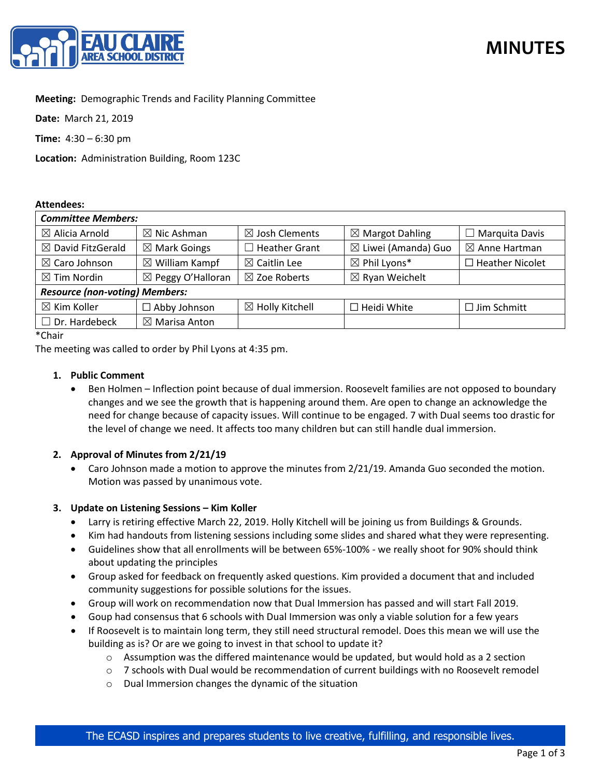

# **Meeting:** Demographic Trends and Facility Planning Committee

**Date:** March 21, 2019

**Time:** 4:30 – 6:30 pm

**Location:** Administration Building, Room 123C

### **Attendees:**

| <b>Committee Members:</b>             |                              |                            |                                |                          |
|---------------------------------------|------------------------------|----------------------------|--------------------------------|--------------------------|
| $\boxtimes$ Alicia Arnold             | $\boxtimes$ Nic Ashman       | $\boxtimes$ Josh Clements  | $\boxtimes$ Margot Dahling     | $\Box$ Marquita Davis    |
| $\boxtimes$ David FitzGerald          | $\boxtimes$ Mark Goings      | Heather Grant              | $\boxtimes$ Liwei (Amanda) Guo | $\boxtimes$ Anne Hartman |
| $\boxtimes$ Caro Johnson              | $\boxtimes$ William Kampf    | $\boxtimes$ Caitlin Lee    | $\boxtimes$ Phil Lyons*        | $\Box$ Heather Nicolet   |
| $\boxtimes$ Tim Nordin                | $\boxtimes$ Peggy O'Halloran | $\boxtimes$ Zoe Roberts    | $\boxtimes$ Ryan Weichelt      |                          |
| <b>Resource (non-voting) Members:</b> |                              |                            |                                |                          |
| $\boxtimes$ Kim Koller                | $\Box$ Abby Johnson          | $\boxtimes$ Holly Kitchell | $\Box$ Heidi White             | $\Box$ Jim Schmitt       |
| $\Box$ Dr. Hardebeck                  | $\boxtimes$ Marisa Anton     |                            |                                |                          |

\*Chair

The meeting was called to order by Phil Lyons at 4:35 pm.

## **1. Public Comment**

• Ben Holmen – Inflection point because of dual immersion. Roosevelt families are not opposed to boundary changes and we see the growth that is happening around them. Are open to change an acknowledge the need for change because of capacity issues. Will continue to be engaged. 7 with Dual seems too drastic for the level of change we need. It affects too many children but can still handle dual immersion.

## **2. Approval of Minutes from 2/21/19**

• Caro Johnson made a motion to approve the minutes from 2/21/19. Amanda Guo seconded the motion. Motion was passed by unanimous vote.

### **3. Update on Listening Sessions – Kim Koller**

- Larry is retiring effective March 22, 2019. Holly Kitchell will be joining us from Buildings & Grounds.
- Kim had handouts from listening sessions including some slides and shared what they were representing.
- Guidelines show that all enrollments will be between 65%-100% we really shoot for 90% should think about updating the principles
- Group asked for feedback on frequently asked questions. Kim provided a document that and included community suggestions for possible solutions for the issues.
- Group will work on recommendation now that Dual Immersion has passed and will start Fall 2019.
- Goup had consensus that 6 schools with Dual Immersion was only a viable solution for a few years
- If Roosevelt is to maintain long term, they still need structural remodel. Does this mean we will use the building as is? Or are we going to invest in that school to update it?
	- $\circ$  Assumption was the differed maintenance would be updated, but would hold as a 2 section
	- $\circ$  7 schools with Dual would be recommendation of current buildings with no Roosevelt remodel
	- o Dual Immersion changes the dynamic of the situation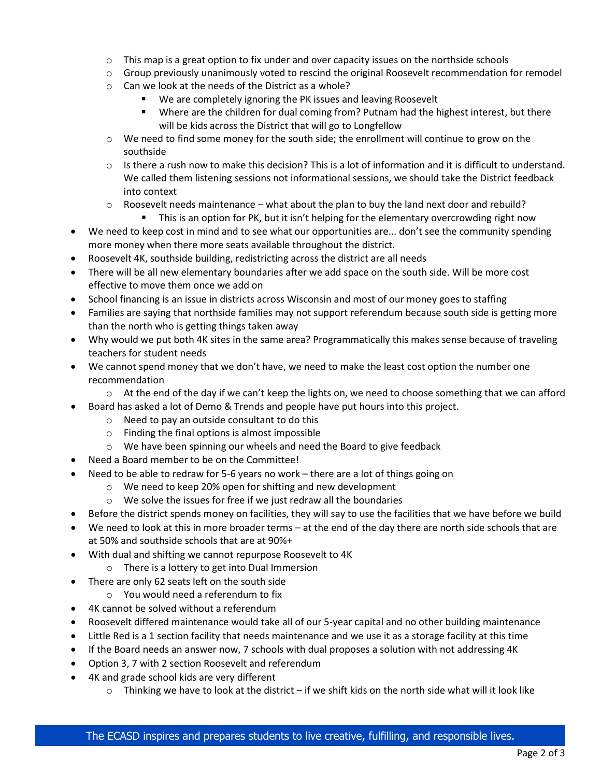- $\circ$  This map is a great option to fix under and over capacity issues on the northside schools
- $\circ$  Group previously unanimously voted to rescind the original Roosevelt recommendation for remodel
- o Can we look at the needs of the District as a whole?
	- We are completely ignoring the PK issues and leaving Roosevelt
	- Where are the children for dual coming from? Putnam had the highest interest, but there will be kids across the District that will go to Longfellow
- $\circ$  We need to find some money for the south side; the enrollment will continue to grow on the southside
- $\circ$  Is there a rush now to make this decision? This is a lot of information and it is difficult to understand. We called them listening sessions not informational sessions, we should take the District feedback into context
- $\circ$  Roosevelt needs maintenance what about the plan to buy the land next door and rebuild?
	- This is an option for PK, but it isn't helping for the elementary overcrowding right now
- We need to keep cost in mind and to see what our opportunities are... don't see the community spending more money when there more seats available throughout the district.
- Roosevelt 4K, southside building, redistricting across the district are all needs
- There will be all new elementary boundaries after we add space on the south side. Will be more cost effective to move them once we add on
- School financing is an issue in districts across Wisconsin and most of our money goes to staffing
- Families are saying that northside families may not support referendum because south side is getting more than the north who is getting things taken away
- Why would we put both 4K sites in the same area? Programmatically this makes sense because of traveling teachers for student needs
- We cannot spend money that we don't have, we need to make the least cost option the number one recommendation
	- $\circ$  At the end of the day if we can't keep the lights on, we need to choose something that we can afford
- Board has asked a lot of Demo & Trends and people have put hours into this project.
	- o Need to pay an outside consultant to do this
	- o Finding the final options is almost impossible
	- o We have been spinning our wheels and need the Board to give feedback
- Need a Board member to be on the Committee!
- Need to be able to redraw for 5-6 years no work there are a lot of things going on
	- o We need to keep 20% open for shifting and new development
	- o We solve the issues for free if we just redraw all the boundaries
- Before the district spends money on facilities, they will say to use the facilities that we have before we build
- We need to look at this in more broader terms at the end of the day there are north side schools that are at 50% and southside schools that are at 90%+
- With dual and shifting we cannot repurpose Roosevelt to 4K
	- o There is a lottery to get into Dual Immersion
- There are only 62 seats left on the south side
	- o You would need a referendum to fix
- 4K cannot be solved without a referendum
- Roosevelt differed maintenance would take all of our 5-year capital and no other building maintenance
- Little Red is a 1 section facility that needs maintenance and we use it as a storage facility at this time
- If the Board needs an answer now, 7 schools with dual proposes a solution with not addressing 4K
- Option 3, 7 with 2 section Roosevelt and referendum
- 4K and grade school kids are very different
	- $\circ$  Thinking we have to look at the district if we shift kids on the north side what will it look like